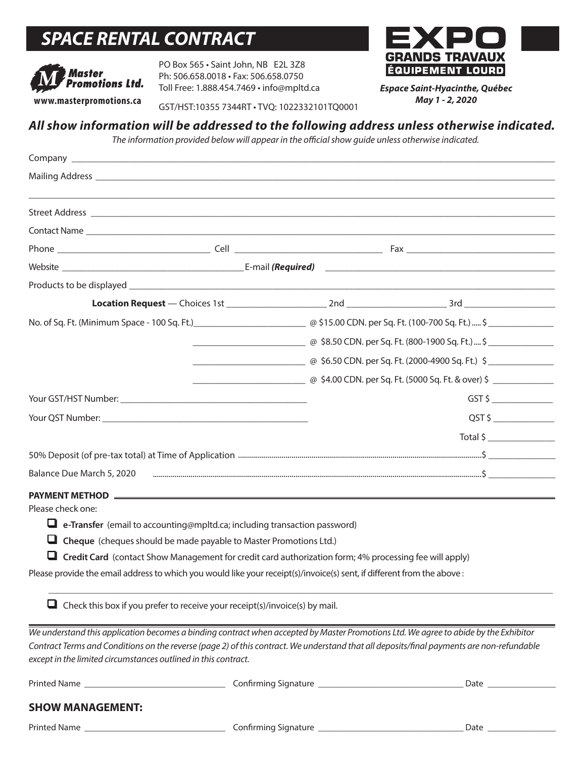# *SPACE RENTAL CONTRACT*



PO Box 565 • Saint John, NB E2L 3Z8 Ph: 506.658.0018 • Fax: 506.658.0750 Toll Free: 1.888.454.7469 • info@mpltd.ca



*Espace Saint-Hyacinthe, Québec May 1 - 2, 2020*

# *All show information will be addressed to the following address unless otherwise indicated.*

*The information provided below will appear in the official show guide unless otherwise indicated.* 

|                                                                |                                                                                    | @ \$8.50 CDN. per Sq. Ft. (800-1900 Sq. Ft.)  \$                                                                        |                                                                                                                                           |  |
|----------------------------------------------------------------|------------------------------------------------------------------------------------|-------------------------------------------------------------------------------------------------------------------------|-------------------------------------------------------------------------------------------------------------------------------------------|--|
|                                                                |                                                                                    |                                                                                                                         | @ \$6.50 CDN. per Sq. Ft. (2000-4900 Sq. Ft.) \$                                                                                          |  |
|                                                                |                                                                                    |                                                                                                                         | @ \$4.00 CDN. per Sq. Ft. (5000 Sq. Ft. & over) \$ _______________________________                                                        |  |
|                                                                |                                                                                    |                                                                                                                         | $GST$ \$ $\qquad \qquad \qquad$                                                                                                           |  |
|                                                                |                                                                                    |                                                                                                                         | $QST$ \$ $\overline{\phantom{a}}$                                                                                                         |  |
|                                                                |                                                                                    |                                                                                                                         | Total \$                                                                                                                                  |  |
|                                                                |                                                                                    |                                                                                                                         |                                                                                                                                           |  |
| Balance Due March 5, 2020                                      |                                                                                    |                                                                                                                         |                                                                                                                                           |  |
|                                                                |                                                                                    |                                                                                                                         |                                                                                                                                           |  |
| Please check one:                                              |                                                                                    |                                                                                                                         |                                                                                                                                           |  |
|                                                                | $\Box$ e-Transfer (email to accounting@mpltd.ca; including transaction password)   |                                                                                                                         |                                                                                                                                           |  |
|                                                                | $\Box$ Cheque (cheques should be made payable to Master Promotions Ltd.)           |                                                                                                                         |                                                                                                                                           |  |
|                                                                |                                                                                    | $\Box$ Credit Card (contact Show Management for credit card authorization form; 4% processing fee will apply)           |                                                                                                                                           |  |
|                                                                |                                                                                    | Please provide the email address to which you would like your receipt(s)/invoice(s) sent, if different from the above : |                                                                                                                                           |  |
|                                                                | $\Box$ Check this box if you prefer to receive your receipt(s)/invoice(s) by mail. |                                                                                                                         |                                                                                                                                           |  |
|                                                                |                                                                                    |                                                                                                                         | We understand this application becomes a binding contract when accepted by Master Promotions Ltd. We agree to abide by the Exhibitor      |  |
| except in the limited circumstances outlined in this contract. |                                                                                    |                                                                                                                         | Contract Terms and Conditions on the reverse (page 2) of this contract. We understand that all deposits/final payments are non-refundable |  |
|                                                                |                                                                                    |                                                                                                                         |                                                                                                                                           |  |